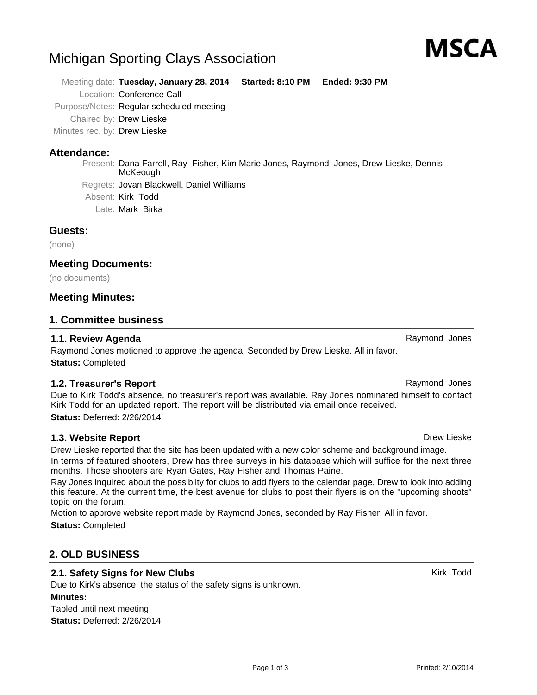# Michigan Sporting Clays Association

Meeting date: **Tuesday, January 28, 2014 Started: 8:10 PM Ended: 9:30 PM** Location: Conference Call Purpose/Notes: Regular scheduled meeting Chaired by: Drew Lieske Minutes rec. by: Drew Lieske

# **Attendance:**

Present: Dana Farrell, Ray Fisher, Kim Marie Jones, Raymond Jones, Drew Lieske, Dennis McKeough Regrets: Jovan Blackwell, Daniel Williams Absent: Kirk Todd Late: Mark Birka

# **Guests:**

(none)

# **Meeting Documents:**

(no documents)

# **Meeting Minutes:**

### **1. Committee business**

# **1.1. Review Agenda** Raymond Jones **Raymond Jones**

Raymond Jones motioned to approve the agenda. Seconded by Drew Lieske. All in favor. **Status:** Completed

### **1.2. Treasurer's Report** Report **Raymond Jones** Raymond Jones

Due to Kirk Todd's absence, no treasurer's report was available. Ray Jones nominated himself to contact Kirk Todd for an updated report. The report will be distributed via email once received. **Status:** Deferred: 2/26/2014

# **1.3. Website Report Drew Lieske Drew Lieske Drew Lieske Drew Lieske Drew Lieske**

Drew Lieske reported that the site has been updated with a new color scheme and background image. In terms of featured shooters, Drew has three surveys in his database which will suffice for the next three months. Those shooters are Ryan Gates, Ray Fisher and Thomas Paine.

Ray Jones inquired about the possiblity for clubs to add flyers to the calendar page. Drew to look into adding this feature. At the current time, the best avenue for clubs to post their flyers is on the "upcoming shoots" topic on the forum.

Page 1 of 3

Motion to approve website report made by Raymond Jones, seconded by Ray Fisher. All in favor.

**Status:** Completed

# **2. OLD BUSINESS**

# **2.1. Safety Signs for New Clubs** Kirk Todd Kirk Todd

Due to Kirk's absence, the status of the safety signs is unknown. **Minutes:** Tabled until next meeting. **Status:** Deferred: 2/26/2014

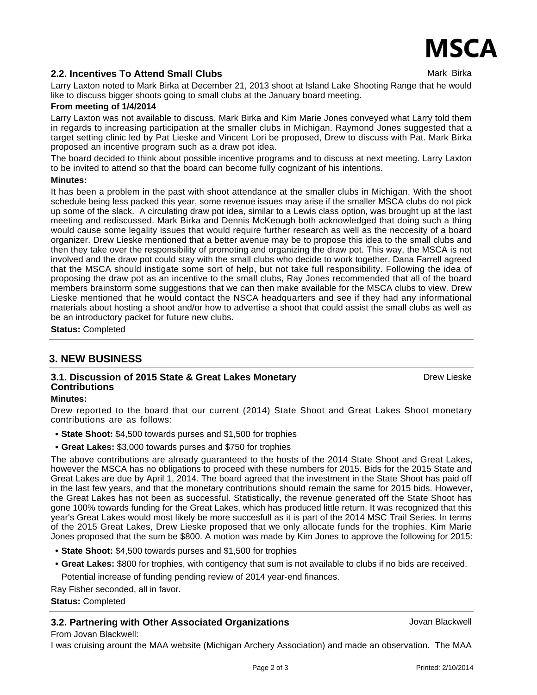Drew Lieske

# **2.2. Incentives To Attend Small Clubs** Mark Birka Mark Birka

Larry Laxton noted to Mark Birka at December 21, 2013 shoot at Island Lake Shooting Range that he would like to discuss bigger shoots going to small clubs at the January board meeting.

### **From meeting of 1/4/2014**

Larry Laxton was not available to discuss. Mark Birka and Kim Marie Jones conveyed what Larry told them in regards to increasing participation at the smaller clubs in Michigan. Raymond Jones suggested that a target setting clinic led by Pat Lieske and Vincent Lori be proposed, Drew to discuss with Pat. Mark Birka proposed an incentive program such as a draw pot idea.

The board decided to think about possible incentive programs and to discuss at next meeting. Larry Laxton to be invited to attend so that the board can become fully cognizant of his intentions.

#### **Minutes:**

It has been a problem in the past with shoot attendance at the smaller clubs in Michigan. With the shoot schedule being less packed this year, some revenue issues may arise if the smaller MSCA clubs do not pick up some of the slack. A circulating draw pot idea, similar to a Lewis class option, was brought up at the last meeting and rediscussed. Mark Birka and Dennis McKeough both acknowledged that doing such a thing would cause some legality issues that would require further research as well as the neccesity of a board organizer. Drew Lieske mentioned that a better avenue may be to propose this idea to the small clubs and then they take over the responsibility of promoting and organizing the draw pot. This way, the MSCA is not involved and the draw pot could stay with the small clubs who decide to work together. Dana Farrell agreed that the MSCA should instigate some sort of help, but not take full responsibility. Following the idea of proposing the draw pot as an incentive to the small clubs, Ray Jones recommended that all of the board members brainstorm some suggestions that we can then make available for the MSCA clubs to view. Drew Lieske mentioned that he would contact the NSCA headquarters and see if they had any informational materials about hosting a shoot and/or how to advertise a shoot that could assist the small clubs as well as be an introductory packet for future new clubs.

**Status:** Completed

# **3. NEW BUSINESS**

# **3.1. Discussion of 2015 State & Great Lakes Monetary Contributions**

### **Minutes:**

Drew reported to the board that our current (2014) State Shoot and Great Lakes Shoot monetary contributions are as follows:

- **• State Shoot:** \$4,500 towards purses and \$1,500 for trophies
- **• Great Lakes:** \$3,000 towards purses and \$750 for trophies

The above contributions are already guaranteed to the hosts of the 2014 State Shoot and Great Lakes, however the MSCA has no obligations to proceed with these numbers for 2015. Bids for the 2015 State and Great Lakes are due by April 1, 2014. The board agreed that the investment in the State Shoot has paid off in the last few years, and that the monetary contributions should remain the same for 2015 bids. However, the Great Lakes has not been as successful. Statistically, the revenue generated off the State Shoot has gone 100% towards funding for the Great Lakes, which has produced little return. It was recognized that this year's Great Lakes would most likely be more succesfull as it is part of the 2014 MSC Trail Series. In terms of the 2015 Great Lakes, Drew Lieske proposed that we only allocate funds for the trophies. Kim Marie Jones proposed that the sum be \$800. A motion was made by Kim Jones to approve the following for 2015:

- **• State Shoot:** \$4,500 towards purses and \$1,500 for trophies
- **Great Lakes:** \$800 for trophies, with contigency that sum is not available to clubs if no bids are received. **•**
- Potential increase of funding pending review of 2014 year-end finances.

Ray Fisher seconded, all in favor.

### **Status:** Completed

# **3.2. Partnering with Other Associated Organizations State of Algebra 2016** Jovan Blackwell

From Jovan Blackwell:

I was cruising arount the MAA website (Michigan Archery Association) and made an observation. The MAA